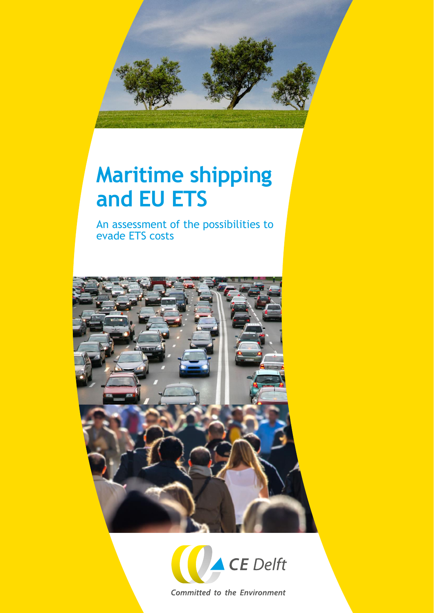

# **Maritime shipping and EU ETS**

An assessment of the possibilities to evade ETS costs





**Committed to the Environment**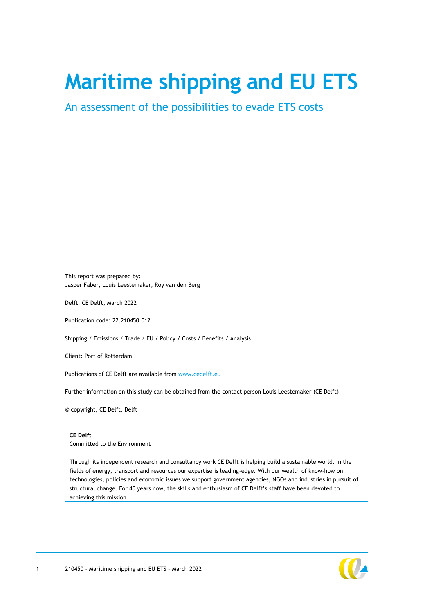# **Maritime shipping and EU ETS**

An assessment of the possibilities to evade ETS costs

This report was prepared by: Jasper Faber, Louis Leestemaker, Roy van den Berg

Delft, CE Delft, March 2022

Publication code: 22.210450.012

Shipping / Emissions / Trade / EU / Policy / Costs / Benefits / Analysis

Client: Port of Rotterdam

Publications of CE Delft are available from [www.cedelft.eu](http://www.cedelft.eu/)

Further information on this study can be obtained from the contact person Louis Leestemaker (CE Delft)

© copyright, CE Delft, Delft

#### **CE Delft**

Committed to the Environment

Through its independent research and consultancy work CE Delft is helping build a sustainable world. In the fields of energy, transport and resources our expertise is leading-edge. With our wealth of know-how on technologies, policies and economic issues we support government agencies, NGOs and industries in pursuit of structural change. For 40 years now, the skills and enthusiasm of CE Delft's staff have been devoted to achieving this mission.

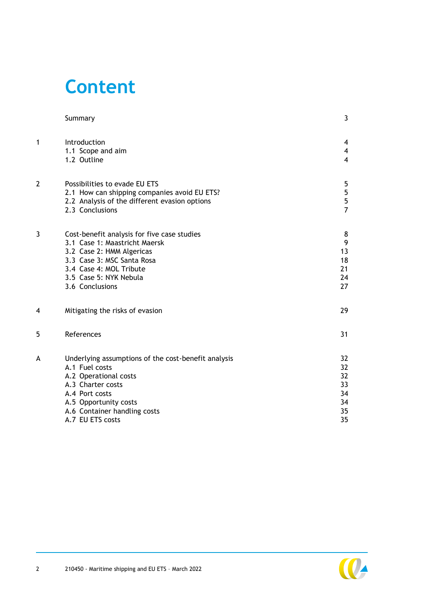## **Content**

|                | Summary                                                                                                                                                                                                            | 3                                                                    |
|----------------|--------------------------------------------------------------------------------------------------------------------------------------------------------------------------------------------------------------------|----------------------------------------------------------------------|
| $\mathbf{1}$   | Introduction<br>1.1 Scope and aim<br>1.2 Outline                                                                                                                                                                   | $\overline{\mathbf{4}}$<br>$\overline{\mathbf{4}}$<br>$\overline{4}$ |
| $\overline{2}$ | Possibilities to evade EU ETS<br>2.1 How can shipping companies avoid EU ETS?<br>2.2 Analysis of the different evasion options<br>2.3 Conclusions                                                                  | 5<br>5<br>5<br>$\overline{7}$                                        |
| 3              | Cost-benefit analysis for five case studies<br>3.1 Case 1: Maastricht Maersk<br>3.2 Case 2: HMM Algericas<br>3.3 Case 3: MSC Santa Rosa<br>3.4 Case 4: MOL Tribute<br>3.5 Case 5: NYK Nebula<br>3.6 Conclusions    | 8<br>9<br>13<br>18<br>21<br>24<br>27                                 |
| 4              | Mitigating the risks of evasion                                                                                                                                                                                    | 29                                                                   |
| 5              | References                                                                                                                                                                                                         | 31                                                                   |
| A              | Underlying assumptions of the cost-benefit analysis<br>A.1 Fuel costs<br>A.2 Operational costs<br>A.3 Charter costs<br>A.4 Port costs<br>A.5 Opportunity costs<br>A.6 Container handling costs<br>A.7 EU ETS costs | 32<br>32<br>32<br>33<br>34<br>34<br>35<br>35                         |

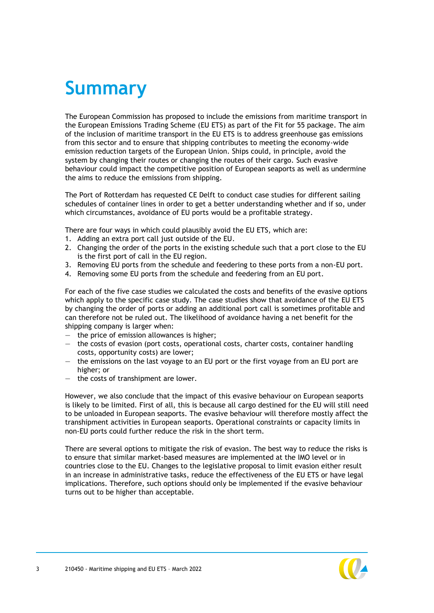## <span id="page-3-0"></span>**Summary**

The European Commission has proposed to include the emissions from maritime transport in the European Emissions Trading Scheme (EU ETS) as part of the Fit for 55 package. The aim of the inclusion of maritime transport in the EU ETS is to address greenhouse gas emissions from this sector and to ensure that shipping contributes to meeting the economy-wide emission reduction targets of the European Union. Ships could, in principle, avoid the system by changing their routes or changing the routes of their cargo. Such evasive behaviour could impact the competitive position of European seaports as well as undermine the aims to reduce the emissions from shipping.

The Port of Rotterdam has requested CE Delft to conduct case studies for different sailing schedules of container lines in order to get a better understanding whether and if so, under which circumstances, avoidance of EU ports would be a profitable strategy.

There are four ways in which could plausibly avoid the EU ETS, which are:

- 1. Adding an extra port call just outside of the EU.
- 2. Changing the order of the ports in the existing schedule such that a port close to the EU is the first port of call in the EU region.
- 3. Removing EU ports from the schedule and feedering to these ports from a non-EU port.
- 4. Removing some EU ports from the schedule and feedering from an EU port.

For each of the five case studies we calculated the costs and benefits of the evasive options which apply to the specific case study. The case studies show that avoidance of the EU ETS by changing the order of ports or adding an additional port call is sometimes profitable and can therefore not be ruled out. The likelihood of avoidance having a net benefit for the shipping company is larger when:

- $-$  the price of emission allowances is higher;
- the costs of evasion (port costs, operational costs, charter costs, container handling costs, opportunity costs) are lower;
- the emissions on the last voyage to an EU port or the first voyage from an EU port are higher; or
- the costs of transhipment are lower.

However, we also conclude that the impact of this evasive behaviour on European seaports is likely to be limited. First of all, this is because all cargo destined for the EU will still need to be unloaded in European seaports. The evasive behaviour will therefore mostly affect the transhipment activities in European seaports. Operational constraints or capacity limits in non-EU ports could further reduce the risk in the short term.

There are several options to mitigate the risk of evasion. The best way to reduce the risks is to ensure that similar market-based measures are implemented at the IMO level or in countries close to the EU. Changes to the legislative proposal to limit evasion either result in an increase in administrative tasks, reduce the effectiveness of the EU ETS or have legal implications. Therefore, such options should only be implemented if the evasive behaviour turns out to be higher than acceptable.

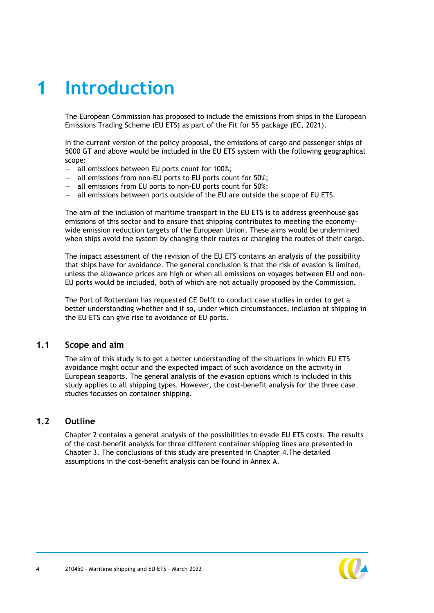## <span id="page-4-0"></span>**1 Introduction**

The European Commission has proposed to include the emissions from ships in the European Emissions Trading Scheme (EU ETS) as part of the Fit for 55 package (EC, 2021).

In the current version of the policy proposal, the emissions of cargo and passenger ships of 5000 GT and above would be included in the EU ETS system with the following geographical scope:

- all emissions between EU ports count for 100%;
- all emissions from non-EU ports to EU ports count for 50%;
- all emissions from EU ports to non-EU ports count for 50%;
- all emissions between ports outside of the EU are outside the scope of EU ETS.

The aim of the inclusion of maritime transport in the EU ETS is to address greenhouse gas emissions of this sector and to ensure that shipping contributes to meeting the economywide emission reduction targets of the European Union. These aims would be undermined when ships avoid the system by changing their routes or changing the routes of their cargo.

The impact assessment of the revision of the EU ETS contains an analysis of the possibility that ships have for avoidance. The general conclusion is that the risk of evasion is limited, unless the allowance prices are high or when all emissions on voyages between EU and non-EU ports would be included, both of which are not actually proposed by the Commission.

<span id="page-4-1"></span>The Port of Rotterdam has requested CE Delft to conduct case studies in order to get a better understanding whether and if so, under which circumstances, inclusion of shipping in the EU ETS can give rise to avoidance of EU ports.

#### **1.1 Scope and aim**

The aim of this study is to get a better understanding of the situations in which EU ETS avoidance might occur and the expected impact of such avoidance on the activity in European seaports. The general analysis of the evasion options which is included in this study applies to all shipping types. However, the cost-benefit analysis for the three case studies focusses on container shipping.

#### <span id="page-4-2"></span>**1.2 Outline**

Chapter [2](#page-5-0) contains a general analysis of the possibilities to evade EU ETS costs. The results of the cost-benefit analysis for three different container shipping lines are presented in Chapter [3.](#page-8-0) The conclusions of this study are presented in Chapter [4.](#page-29-0)The detailed assumptions in the cost-benefit analysis can be found in Annex [A.](#page-32-0)

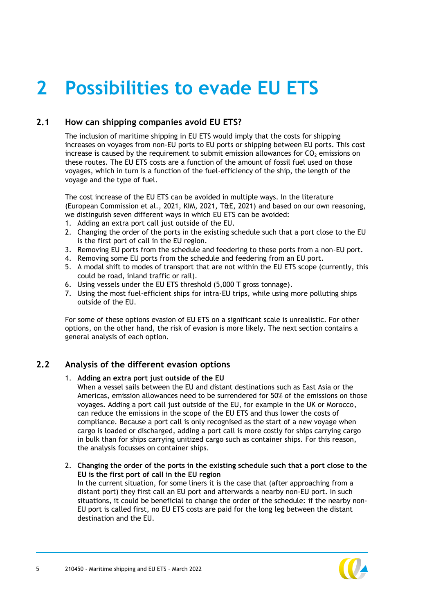## <span id="page-5-0"></span>**2 Possibilities to evade EU ETS**

## **2.1 How can shipping companies avoid EU ETS?**

<span id="page-5-1"></span>The inclusion of maritime shipping in EU ETS would imply that the costs for shipping increases on voyages from non-EU ports to EU ports or shipping between EU ports. This cost increase is caused by the requirement to submit emission allowances for  $CO<sub>2</sub>$  emissions on these routes. The EU ETS costs are a function of the amount of fossil fuel used on those voyages, which in turn is a function of the fuel-efficiency of the ship, the length of the voyage and the type of fuel.

The cost increase of the EU ETS can be avoided in multiple ways. In the literature (European Commission et al., 2021, KIM, 2021, T&E, 2021) and based on our own reasoning, we distinguish seven different ways in which EU ETS can be avoided:

- 1. Adding an extra port call just outside of the EU.
- 2. Changing the order of the ports in the existing schedule such that a port close to the EU is the first port of call in the EU region.
- 3. Removing EU ports from the schedule and feedering to these ports from a non-EU port.
- 4. Removing some EU ports from the schedule and feedering from an EU port.
- 5. A modal shift to modes of transport that are not within the EU ETS scope (currently, this could be road, inland traffic or rail).
- 6. Using vessels under the EU ETS threshold (5,000 T gross tonnage).
- 7. Using the most fuel-efficient ships for intra-EU trips, while using more polluting ships outside of the EU.

<span id="page-5-2"></span>For some of these options evasion of EU ETS on a significant scale is unrealistic. For other options, on the other hand, the risk of evasion is more likely. The next section contains a general analysis of each option.

### **2.2 Analysis of the different evasion options**

#### 1. **Adding an extra port just outside of the EU**

When a vessel sails between the EU and distant destinations such as East Asia or the Americas, emission allowances need to be surrendered for 50% of the emissions on those voyages. Adding a port call just outside of the EU, for example in the UK or Morocco, can reduce the emissions in the scope of the EU ETS and thus lower the costs of compliance. Because a port call is only recognised as the start of a new voyage when cargo is loaded or discharged, adding a port call is more costly for ships carrying cargo in bulk than for ships carrying unitized cargo such as container ships. For this reason, the analysis focusses on container ships.

2. **Changing the order of the ports in the existing schedule such that a port close to the EU is the first port of call in the EU region**

In the current situation, for some liners it is the case that (after approaching from a distant port) they first call an EU port and afterwards a nearby non-EU port. In such situations, it could be beneficial to change the order of the schedule: if the nearby non-EU port is called first, no EU ETS costs are paid for the long leg between the distant destination and the EU.

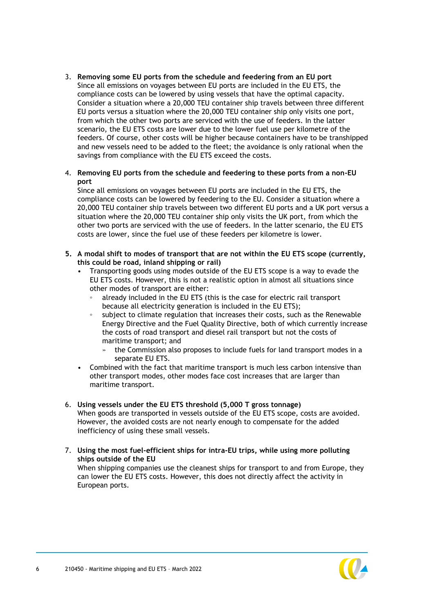3. **Removing some EU ports from the schedule and feedering from an EU port** Since all emissions on voyages between EU ports are included in the EU ETS, the compliance costs can be lowered by using vessels that have the optimal capacity. Consider a situation where a 20,000 TEU container ship travels between three different EU ports versus a situation where the 20,000 TEU container ship only visits one port, from which the other two ports are serviced with the use of feeders. In the latter scenario, the EU ETS costs are lower due to the lower fuel use per kilometre of the feeders. Of course, other costs will be higher because containers have to be transhipped and new vessels need to be added to the fleet; the avoidance is only rational when the savings from compliance with the EU ETS exceed the costs.

#### 4. **Removing EU ports from the schedule and feedering to these ports from a non-EU port**

Since all emissions on voyages between EU ports are included in the EU ETS, the compliance costs can be lowered by feedering to the EU. Consider a situation where a 20,000 TEU container ship travels between two different EU ports and a UK port versus a situation where the 20,000 TEU container ship only visits the UK port, from which the other two ports are serviced with the use of feeders. In the latter scenario, the EU ETS costs are lower, since the fuel use of these feeders per kilometre is lower.

- **5. A modal shift to modes of transport that are not within the EU ETS scope (currently, this could be road, inland shipping or rail)**
	- Transporting goods using modes outside of the EU ETS scope is a way to evade the EU ETS costs. However, this is not a realistic option in almost all situations since other modes of transport are either:
		- already included in the EU ETS (this is the case for electric rail transport because all electricity generation is included in the EU ETS);
		- subject to climate regulation that increases their costs, such as the Renewable Energy Directive and the Fuel Quality Directive, both of which currently increase the costs of road transport and diesel rail transport but not the costs of maritime transport; and
			- the Commission also proposes to include fuels for land transport modes in a separate EU ETS.
	- Combined with the fact that maritime transport is much less carbon intensive than other transport modes, other modes face cost increases that are larger than maritime transport.
- 6. **Using vessels under the EU ETS threshold (5,000 T gross tonnage)** When goods are transported in vessels outside of the EU ETS scope, costs are avoided. However, the avoided costs are not nearly enough to compensate for the added inefficiency of using these small vessels.
- 7. **Using the most fuel-efficient ships for intra-EU trips, while using more polluting ships outside of the EU** When shipping companies use the cleanest ships for transport to and from Europe, they can lower the EU ETS costs. However, this does not directly affect the activity in European ports.

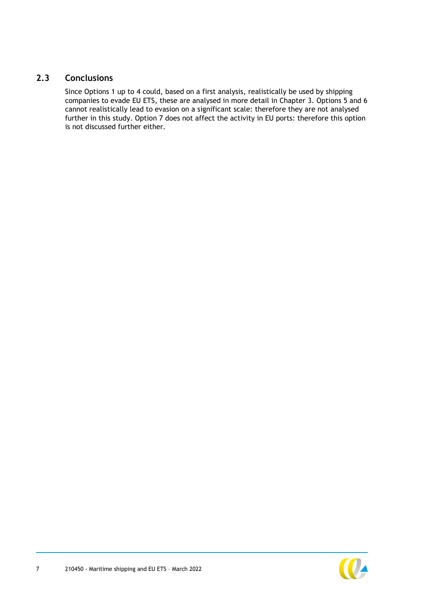## **2.3 Conclusions**

<span id="page-7-0"></span>Since Options 1 up to 4 could, based on a first analysis, realistically be used by shipping companies to evade EU ETS, these are analysed in more detail in Chapter [3.](#page-8-0) Options 5 and 6 cannot realistically lead to evasion on a significant scale: therefore they are not analysed further in this study. Option 7 does not affect the activity in EU ports: therefore this option is not discussed further either.

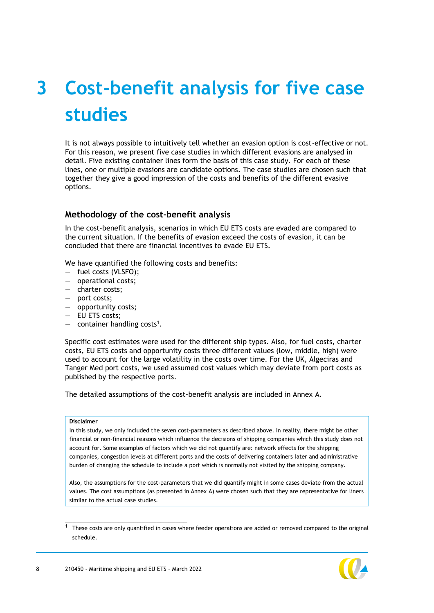# <span id="page-8-0"></span>**3 Cost-benefit analysis for five case studies**

It is not always possible to intuitively tell whether an evasion option is cost-effective or not. For this reason, we present five case studies in which different evasions are analysed in detail. Five existing container lines form the basis of this case study. For each of these lines, one or multiple evasions are candidate options. The case studies are chosen such that together they give a good impression of the costs and benefits of the different evasive options.

#### **Methodology of the cost-benefit analysis**

In the cost-benefit analysis, scenarios in which EU ETS costs are evaded are compared to the current situation. If the benefits of evasion exceed the costs of evasion, it can be concluded that there are financial incentives to evade EU ETS.

We have quantified the following costs and benefits:

- fuel costs (VLSFO);
- operational costs;
- charter costs;
- port costs;
- opportunity costs;
- EU ETS costs;
- $-$  container handling costs<sup>1</sup>.

Specific cost estimates were used for the different ship types. Also, for fuel costs, charter costs, EU ETS costs and opportunity costs three different values (low, middle, high) were used to account for the large volatility in the costs over time. For the UK, Algeciras and Tanger Med port costs, we used assumed cost values which may deviate from port costs as published by the respective ports.

The detailed assumptions of the cost-benefit analysis are included in Annex [A.](#page-32-0)

#### **Disclaimer**

In this study, we only included the seven cost-parameters as described above. In reality, there might be other financial or non-financial reasons which influence the decisions of shipping companies which this study does not account for. Some examples of factors which we did not quantify are: network effects for the shipping companies, congestion levels at different ports and the costs of delivering containers later and administrative burden of changing the schedule to include a port which is normally not visited by the shipping company.

Also, the assumptions for the cost-parameters that we did quantify might in some cases deviate from the actual values. The cost assumptions (as presented in Annex [A\)](#page-32-0) were chosen such that they are representative for liners similar to the actual case studies.

These costs are only quantified in cases where feeder operations are added or removed compared to the original schedule.

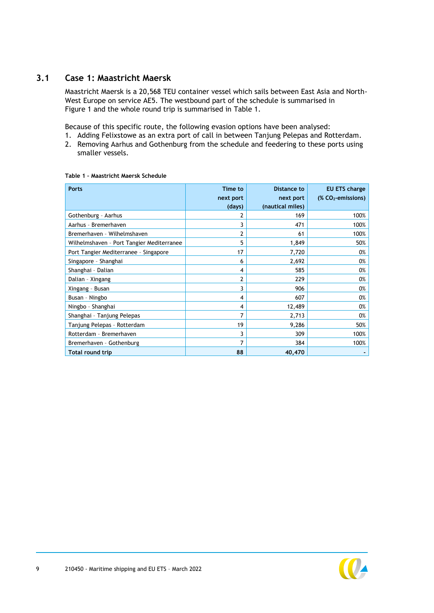## **3.1 Case 1: Maastricht Maersk**

<span id="page-9-0"></span>Maastricht Maersk is a 20,568 TEU container vessel which sails between East Asia and North-West Europe on service AE5. The westbound part of the schedule is summarised in [Figure 1](#page-9-1) and the whole round trip is summarised in [Table 1.](#page-9-2)

Because of this specific route, the following evasion options have been analysed:

1. Adding Felixstowe as an extra port of call in between Tanjung Pelepas and Rotterdam. 2. Removing Aarhus and Gothenburg from the schedule and feedering to these ports using smaller vessels.

<span id="page-9-1"></span>

| <b>Ports</b>                              | Time to<br>next port | <b>Distance to</b><br>next port | EU ETS charge<br>$(X CO2-emissions)$ |
|-------------------------------------------|----------------------|---------------------------------|--------------------------------------|
|                                           | (days)               | (nautical miles)                |                                      |
| Gothenburg - Aarhus                       |                      | 169                             | 100%                                 |
| Aarhus - Bremerhaven                      | 3                    | 471                             | 100%                                 |
| Bremerhaven - Wilhelmshaven               | 2                    | 61                              | 100%                                 |
| Wilhelmshaven - Port Tangier Mediterranee | 5                    | 1,849                           | 50%                                  |
| Port Tangier Mediterranee - Singapore     | 17                   | 7,720                           | 0%                                   |
| Singapore - Shanghai                      | 6                    | 2,692                           | 0%                                   |
| Shanghai - Dalian                         | 4                    | 585                             | 0%                                   |
| Dalian - Xingang                          | 2                    | 229                             | 0%                                   |
| Xingang - Busan                           | 3                    | 906                             | 0%                                   |
| Busan - Ningbo                            | 4                    | 607                             | 0%                                   |
| Ningbo - Shanghai                         | 4                    | 12,489                          | 0%                                   |
| Shanghai - Tanjung Pelepas                | 7                    | 2,713                           | 0%                                   |
| Tanjung Pelepas - Rotterdam               | 19                   | 9,286                           | 50%                                  |
| Rotterdam - Bremerhaven                   | 3                    | 309                             | 100%                                 |
| Bremerhaven - Gothenburg                  | 7                    | 384                             | 100%                                 |
| <b>Total round trip</b>                   | 88                   | 40,470                          |                                      |

#### <span id="page-9-2"></span>**Table 1 – Maastricht Maersk Schedule**

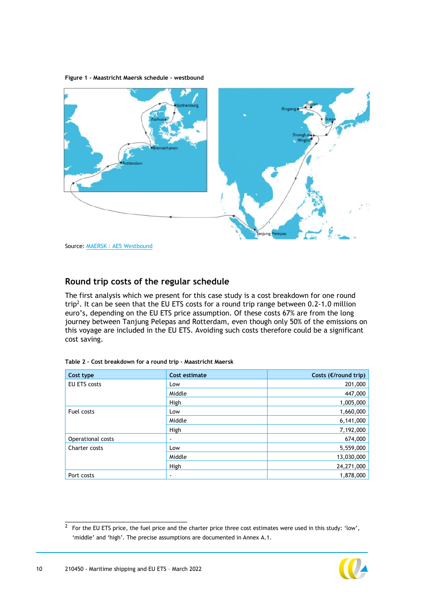**Figure 1 – Maastricht Maersk schedule – westbound**



## **Round trip costs of the regular schedule**

The first analysis which we present for this case study is a cost breakdown for one round trip<sup>2</sup>. It can be seen that the EU ETS costs for a round trip range between 0.2-1.0 million euro's, depending on the EU ETS price assumption. Of these costs 67% are from the long journey between Tanjung Pelepas and Rotterdam, even though only 50% of the emissions on this voyage are included in the EU ETS. Avoiding such costs therefore could be a significant cost saving.

| Cost type           | Cost estimate | Costs (€/round trip) |
|---------------------|---------------|----------------------|
| <b>EU ETS costs</b> | Low           | 201,000              |
|                     | Middle        | 447,000              |
|                     | High          | 1,005,000            |
| Fuel costs          | Low           | 1,660,000            |
|                     | Middle        | 6,141,000            |
|                     | High          | 7,192,000            |
| Operational costs   | ٠             | 674,000              |
| Charter costs       | Low           | 5,559,000            |
|                     | Middle        | 13,030,000           |
|                     | High          | 24,271,000           |
| Port costs          | ۰             | 1,878,000            |

|  | Table 2 - Cost breakdown for a round trip - Maastricht Maersk |
|--|---------------------------------------------------------------|

\_\_\_\_\_\_\_\_\_\_\_\_\_\_\_\_\_\_\_\_\_\_\_\_\_\_\_\_\_\_\_\_ 2 For the EU ETS price, the fuel price and the charter price three cost estimates were used in this study: 'low', 'middle' and 'high'. The precise assumptions are documented in Annex [A.1.](#page-32-1)

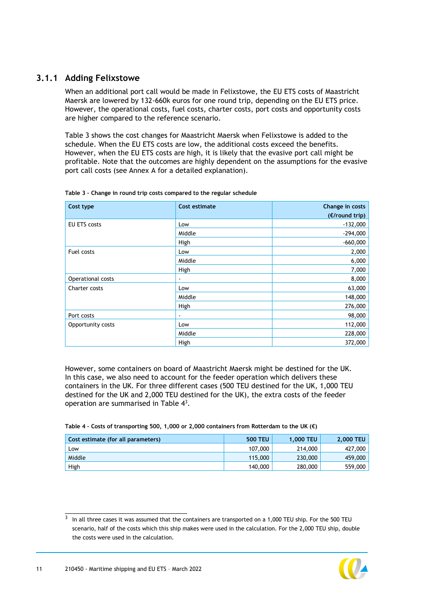## **3.1.1 Adding Felixstowe**

When an additional port call would be made in Felixstowe, the EU ETS costs of Maastricht Maersk are lowered by 132-660k euros for one round trip, depending on the EU ETS price. However, the operational costs, fuel costs, charter costs, port costs and opportunity costs are higher compared to the reference scenario.

[Table 3](#page-11-0) shows the cost changes for Maastricht Maersk when Felixstowe is added to the schedule. When the EU ETS costs are low, the additional costs exceed the benefits. However, when the EU ETS costs are high, it is likely that the evasive port call might be profitable. Note that the outcomes are highly dependent on the assumptions for the evasive port call costs (see Annex [A](#page-32-0) for a detailed explanation).

| Cost type         | Cost estimate | Change in costs |
|-------------------|---------------|-----------------|
|                   |               | (€/round trip)  |
| EU ETS costs      | Low           | $-132,000$      |
|                   | Middle        | $-294,000$      |
|                   | High          | $-660,000$      |
| Fuel costs        | Low           | 2,000           |
|                   | Middle        | 6,000           |
|                   | High          | 7,000           |
| Operational costs | ÷             | 8,000           |
| Charter costs     | Low           | 63,000          |
|                   | Middle        | 148,000         |
|                   | High          | 276,000         |
| Port costs        | ÷             | 98,000          |
| Opportunity costs | Low           | 112,000         |
|                   | Middle        | 228,000         |
|                   | High          | 372,000         |

<span id="page-11-0"></span>**Table 3 – Change in round trip costs compared to the regular schedule**

However, some containers on board of Maastricht Maersk might be destined for the UK. In this case, we also need to account for the feeder operation which delivers these containers in the UK. For three different cases (500 TEU destined for the UK, 1,000 TEU destined for the UK and 2,000 TEU destined for the UK), the extra costs of the feeder operation are summarised in [Table 4](#page-11-1)<sup>3</sup>.

<span id="page-11-1"></span>

| Table 4 - Costs of transporting 500, 1,000 or 2,000 containers from Rotterdam to the UK ( $\epsilon$ ) |
|--------------------------------------------------------------------------------------------------------|
|                                                                                                        |

| Cost estimate (for all parameters) | <b>500 TEU</b> | <b>1.000 TEU</b> | <b>2.000 TEU</b> |
|------------------------------------|----------------|------------------|------------------|
| LOW                                | 107,000        | 214,000          | 427,000          |
| Middle                             | 115,000        | 230,000          | 459,000          |
| High                               | 140,000        | 280,000          | 559,000          |

 $3$  In all three cases it was assumed that the containers are transported on a 1,000 TEU ship. For the 500 TEU scenario, half of the costs which this ship makes were used in the calculation. For the 2,000 TEU ship, double the costs were used in the calculation.

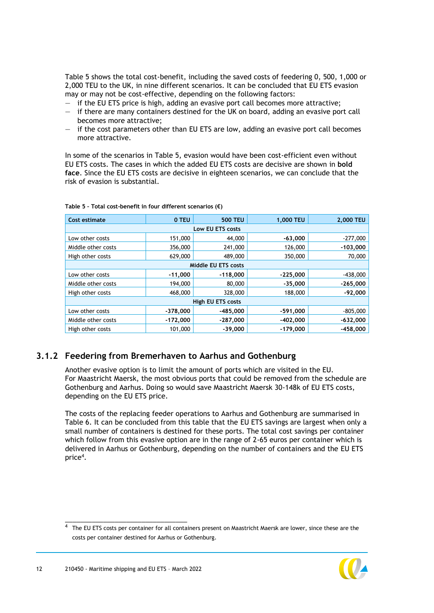[Table 5](#page-12-0) shows the total cost-benefit, including the saved costs of feedering 0, 500, 1,000 or 2,000 TEU to the UK, in nine different scenarios. It can be concluded that EU ETS evasion may or may not be cost-effective, depending on the following factors:

- if the EU ETS price is high, adding an evasive port call becomes more attractive;
- if there are many containers destined for the UK on board, adding an evasive port call becomes more attractive;
- if the cost parameters other than EU ETS are low, adding an evasive port call becomes more attractive.

In some of the scenarios in [Table 5,](#page-12-0) evasion would have been cost-efficient even without EU ETS costs. The cases in which the added EU ETS costs are decisive are shown in **bold face**. Since the EU ETS costs are decisive in eighteen scenarios, we can conclude that the risk of evasion is substantial.

| Cost estimate      | 0 TEU               | <b>500 TEU</b> | 1,000 TEU  | 2,000 TEU  |  |  |
|--------------------|---------------------|----------------|------------|------------|--|--|
| Low EU ETS costs   |                     |                |            |            |  |  |
| Low other costs    | 151,000             | 44,000         | $-63,000$  | $-277,000$ |  |  |
| Middle other costs | 356,000             | 241,000        | 126,000    | $-103,000$ |  |  |
| High other costs   | 629,000             | 489,000        | 350,000    | 70,000     |  |  |
|                    | Middle EU ETS costs |                |            |            |  |  |
| Low other costs    | $-11,000$           | $-118,000$     | $-225,000$ | $-438,000$ |  |  |
| Middle other costs | 194,000             | 80,000         | $-35,000$  | $-265,000$ |  |  |
| High other costs   | 468,000             | 328,000        | 188,000    | $-92,000$  |  |  |
| High EU ETS costs  |                     |                |            |            |  |  |
| Low other costs    | $-378,000$          | $-485,000$     | $-591,000$ | $-805,000$ |  |  |
| Middle other costs | $-172,000$          | $-287,000$     | $-402,000$ | $-632,000$ |  |  |
| High other costs   | 101,000             | $-39,000$      | $-179.000$ | $-458,000$ |  |  |

<span id="page-12-0"></span>**Table 5 – Total cost-benefit in four different scenarios (€)**

### **3.1.2 Feedering from Bremerhaven to Aarhus and Gothenburg**

Another evasive option is to limit the amount of ports which are visited in the EU. For Maastricht Maersk, the most obvious ports that could be removed from the schedule are Gothenburg and Aarhus. Doing so would save Maastricht Maersk 30-148k of EU ETS costs, depending on the EU ETS price.

The costs of the replacing feeder operations to Aarhus and Gothenburg are summarised in [Table 6.](#page-13-1) It can be concluded from this table that the EU ETS savings are largest when only a small number of containers is destined for these ports. The total cost savings per container which follow from this evasive option are in the range of 2-65 euros per container which is delivered in Aarhus or Gothenburg, depending on the number of containers and the EU ETS price<sup>4</sup>.

<sup>&</sup>lt;sup>4</sup> The EU ETS costs per container for all containers present on Maastricht Maersk are lower, since these are the costs per container destined for Aarhus or Gothenburg.

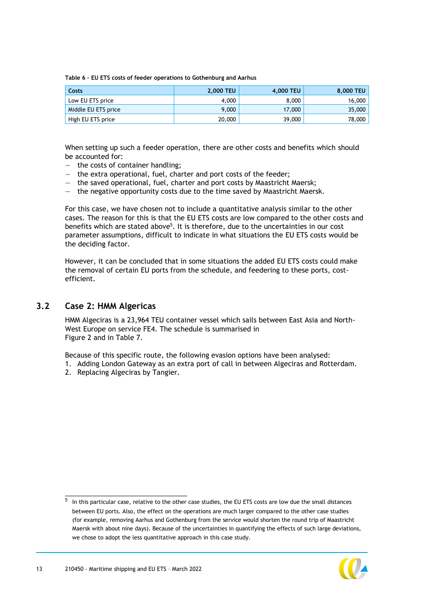<span id="page-13-1"></span>**Table 6 – EU ETS costs of feeder operations to Gothenburg and Aarhus**

| Costs               | <b>2.000 TEU</b> | 4.000 TEU | 8,000 TEU |
|---------------------|------------------|-----------|-----------|
| Low EU ETS price    | 4.000            | 8,000     | 16,000    |
| Middle EU ETS price | 9,000            | 17,000    | 35,000    |
| High EU ETS price   | 20,000           | 39,000    | 78,000    |

When setting up such a feeder operation, there are other costs and benefits which should be accounted for:

- the costs of container handling;
- the extra operational, fuel, charter and port costs of the feeder;
- the saved operational, fuel, charter and port costs by Maastricht Maersk;
- the negative opportunity costs due to the time saved by Maastricht Maersk.

For this case, we have chosen not to include a quantitative analysis similar to the other cases. The reason for this is that the EU ETS costs are low compared to the other costs and benefits which are stated above<sup>5</sup>. It is therefore, due to the uncertainties in our cost parameter assumptions, difficult to indicate in what situations the EU ETS costs would be the deciding factor.

<span id="page-13-0"></span>However, it can be concluded that in some situations the added EU ETS costs could make the removal of certain EU ports from the schedule, and feedering to these ports, costefficient.

#### **3.2 Case 2: HMM Algericas**

HMM Algeciras is a 23,964 TEU container vessel which sails between East Asia and North-West Europe on service FE4. The schedule is summarised in [Figure 2](#page-14-0) and in [Table 7.](#page-14-1)

Because of this specific route, the following evasion options have been analysed:

- 1. Adding London Gateway as an extra port of call in between Algeciras and Rotterdam.
- 2. Replacing Algeciras by Tangier.

 $^5$  In this particular case, relative to the other case studies, the EU ETS costs are low due the small distances between EU ports. Also, the effect on the operations are much larger compared to the other case studies (for example, removing Aarhus and Gothenburg from the service would shorten the round trip of Maastricht Maersk with about nine days). Because of the uncertainties in quantifying the effects of such large deviations, we chose to adopt the less quantitative approach in this case study.

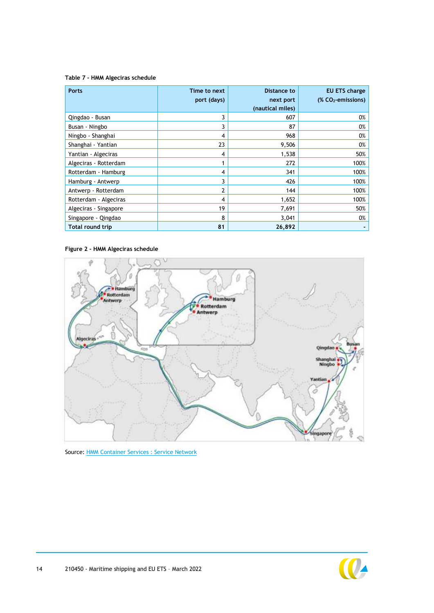#### <span id="page-14-1"></span>**Table 7 - HMM Algeciras schedule**

| <b>Ports</b>          | Time to next<br>port (days) | Distance to<br>next port<br>(nautical miles) | EU ETS charge<br>$(X CO2$ -emissions) |
|-----------------------|-----------------------------|----------------------------------------------|---------------------------------------|
| Qingdao - Busan       | 3                           | 607                                          | 0%                                    |
| Busan - Ningbo        | 3                           | 87                                           | 0%                                    |
| Ningbo - Shanghai     | 4                           | 968                                          | 0%                                    |
| Shanghai - Yantian    | 23                          | 9,506                                        | 0%                                    |
| Yantian - Algeciras   | 4                           | 1,538                                        | 50%                                   |
| Algeciras - Rotterdam |                             | 272                                          | 100%                                  |
| Rotterdam - Hamburg   | 4                           | 341                                          | 100%                                  |
| Hamburg - Antwerp     | 3                           | 426                                          | 100%                                  |
| Antwerp - Rotterdam   | 2                           | 144                                          | 100%                                  |
| Rotterdam - Algeciras | 4                           | 1,652                                        | 100%                                  |
| Algeciras - Singapore | 19                          | 7,691                                        | 50%                                   |
| Singapore - Qingdao   | 8                           | 3,041                                        | 0%                                    |
| Total round trip      | 81                          | 26,892                                       |                                       |

#### <span id="page-14-0"></span>**Figure 2 – HMM Algeciras schedule**



Source: **HMM Container Services : Service Network** 

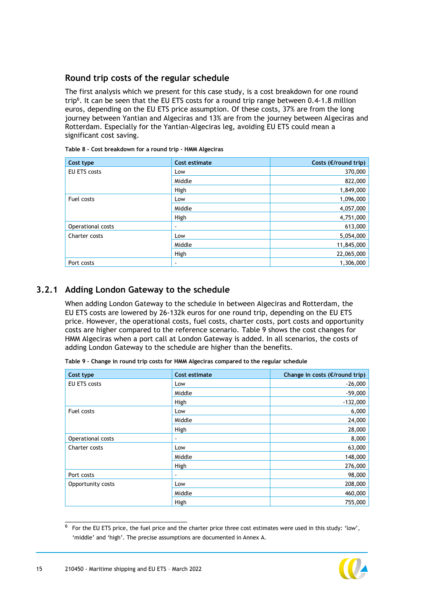#### **Round trip costs of the regular schedule**

The first analysis which we present for this case study, is a cost breakdown for one round trip<sup>6</sup>. It can be seen that the EU ETS costs for a round trip range between 0.4-1.8 million euros, depending on the EU ETS price assumption. Of these costs, 37% are from the long journey between Yantian and Algeciras and 13% are from the journey between Algeciras and Rotterdam. Especially for the Yantian-Algeciras leg, avoiding EU ETS could mean a significant cost saving.

| Cost type           | <b>Cost estimate</b> | Costs ( $E$ /round trip) |
|---------------------|----------------------|--------------------------|
| <b>EU ETS costs</b> | Low                  | 370,000                  |
|                     | Middle               | 822,000                  |
|                     | High                 | 1,849,000                |
| Fuel costs          | Low                  | 1,096,000                |
|                     | Middle               | 4,057,000                |
|                     | High                 | 4,751,000                |
| Operational costs   | ٠                    | 613,000                  |
| Charter costs       | Low                  | 5,054,000                |
|                     | Middle               | 11,845,000               |
|                     | High                 | 22,065,000               |
| Port costs          | $\,$                 | 1,306,000                |

| Table 8 - Cost breakdown for a round trip - HMM Algeciras |  |  |
|-----------------------------------------------------------|--|--|
|-----------------------------------------------------------|--|--|

### **3.2.1 Adding London Gateway to the schedule**

When adding London Gateway to the schedule in between Algeciras and Rotterdam, the EU ETS costs are lowered by 26-132k euros for one round trip, depending on the EU ETS price. However, the operational costs, fuel costs, charter costs, port costs and opportunity costs are higher compared to the reference scenario. [Table 9](#page-15-0) shows the cost changes for HMM Algeciras when a port call at London Gateway is added. In all scenarios, the costs of adding London Gateway to the schedule are higher than the benefits.

| Cost type           | Cost estimate  | Change in costs ( $E$ /round trip) |
|---------------------|----------------|------------------------------------|
| <b>EU ETS costs</b> | Low            | $-26,000$                          |
|                     | Middle         | $-59,000$                          |
|                     | High           | $-132,000$                         |
| Fuel costs          | Low            | 6,000                              |
|                     | Middle         | 24,000                             |
|                     | High           | 28,000                             |
| Operational costs   | $\blacksquare$ | 8,000                              |
| Charter costs       | Low            | 63,000                             |
|                     | Middle         | 148,000                            |
|                     | High           | 276,000                            |
| Port costs          | $\blacksquare$ | 98,000                             |
| Opportunity costs   | Low            | 208,000                            |
|                     | Middle         | 460,000                            |
|                     | High           | 755,000                            |

<span id="page-15-0"></span>**Table 9 – Change in round trip costs for HMM Algeciras compared to the regular schedule**

 $^6$  For the EU ETS price, the fuel price and the charter price three cost estimates were used in this study: 'low', 'middle' and 'high'. The precise assumptions are documented in Annex [A.](#page-32-0)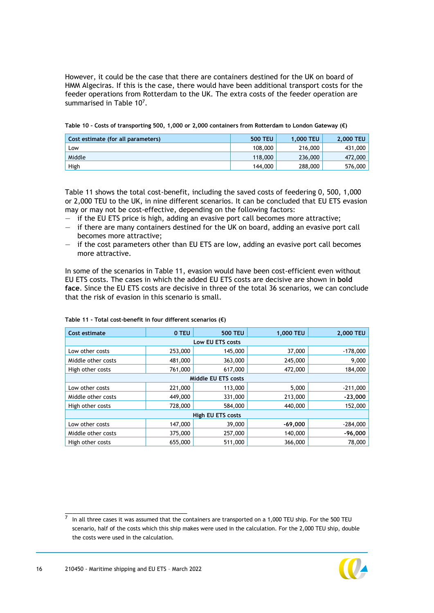However, it could be the case that there are containers destined for the UK on board of HMM Algeciras. If this is the case, there would have been additional transport costs for the feeder operations from Rotterdam to the UK. The extra costs of the feeder operation are summarised in Table  $10<sup>7</sup>$ .

| Cost estimate (for all parameters) | <b>500 TEU</b> | <b>1.000 TEU</b> | <b>2.000 TEU</b> |
|------------------------------------|----------------|------------------|------------------|
| Low                                | 108,000        | 216,000          | 431,000          |
| Middle                             | 118,000        | 236,000          | 472,000          |
| High                               | 144,000        | 288,000          | 576,000          |

<span id="page-16-0"></span>

|  |  |  | Table 10 - Costs of transporting 500, 1,000 or 2,000 containers from Rotterdam to London Gateway ( $\varepsilon$ ) |  |  |
|--|--|--|--------------------------------------------------------------------------------------------------------------------|--|--|

[Table 11](#page-16-1) shows the total cost-benefit, including the saved costs of feedering 0, 500, 1,000 or 2,000 TEU to the UK, in nine different scenarios. It can be concluded that EU ETS evasion may or may not be cost-effective, depending on the following factors:

- if the EU ETS price is high, adding an evasive port call becomes more attractive;
- if there are many containers destined for the UK on board, adding an evasive port call becomes more attractive;
- if the cost parameters other than EU ETS are low, adding an evasive port call becomes more attractive.

In some of the scenarios in [Table 11,](#page-16-1) evasion would have been cost-efficient even without EU ETS costs. The cases in which the added EU ETS costs are decisive are shown in **bold face**. Since the EU ETS costs are decisive in three of the total 36 scenarios, we can conclude that the risk of evasion in this scenario is small.

| <b>Cost estimate</b>     | 0 TEU   | <b>500 TEU</b>             | 1,000 TEU | 2,000 TEU  |  |
|--------------------------|---------|----------------------------|-----------|------------|--|
|                          |         | Low EU ETS costs           |           |            |  |
| Low other costs          | 253,000 | 145,000                    | 37,000    | $-178,000$ |  |
| Middle other costs       | 481,000 | 363,000                    | 245,000   | 9,000      |  |
| High other costs         | 761,000 | 617,000                    | 472,000   | 184,000    |  |
|                          |         | <b>Middle EU ETS costs</b> |           |            |  |
| Low other costs          | 221,000 | 113,000                    | 5,000     | $-211,000$ |  |
| Middle other costs       | 449,000 | 331,000                    | 213,000   | $-23,000$  |  |
| High other costs         | 728,000 | 584,000                    | 440,000   | 152,000    |  |
| <b>High EU ETS costs</b> |         |                            |           |            |  |
| Low other costs          | 147,000 | 39,000                     | $-69,000$ | $-284,000$ |  |
| Middle other costs       | 375,000 | 257,000                    | 140,000   | $-96,000$  |  |
| High other costs         | 655,000 | 511,000                    | 366,000   | 78,000     |  |

#### <span id="page-16-1"></span>**Table 11 - Total cost-benefit in four different scenarios (€)**

<sup>7</sup> In all three cases it was assumed that the containers are transported on a 1,000 TEU ship. For the 500 TEU scenario, half of the costs which this ship makes were used in the calculation. For the 2,000 TEU ship, double the costs were used in the calculation.

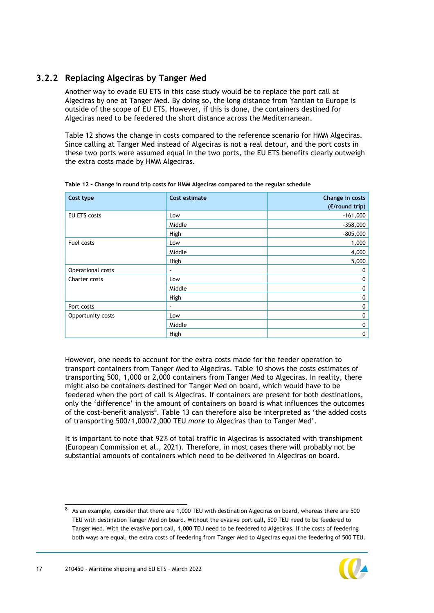## **3.2.2 Replacing Algeciras by Tanger Med**

Another way to evade EU ETS in this case study would be to replace the port call at Algeciras by one at Tanger Med. By doing so, the long distance from Yantian to Europe is outside of the scope of EU ETS. However, if this is done, the containers destined for Algeciras need to be feedered the short distance across the Mediterranean.

[Table 12](#page-17-0) shows the change in costs compared to the reference scenario for HMM Algeciras. Since calling at Tanger Med instead of Algeciras is not a real detour, and the port costs in these two ports were assumed equal in the two ports, the EU ETS benefits clearly outweigh the extra costs made by HMM Algeciras.

| Cost type           | Cost estimate  | Change in costs |
|---------------------|----------------|-----------------|
|                     |                | (E/round trip)  |
| <b>EU ETS costs</b> | Low            | $-161,000$      |
|                     | Middle         | $-358,000$      |
|                     | High           | $-805,000$      |
| Fuel costs          | Low            | 1,000           |
|                     | Middle         | 4,000           |
|                     | High           | 5,000           |
| Operational costs   | $\blacksquare$ | 0               |
| Charter costs       | Low            | 0               |
|                     | Middle         | 0               |
|                     | High           | 0               |
| Port costs          | ۰              | 0               |
| Opportunity costs   | Low            | 0               |
|                     | Middle         | 0               |
|                     | High           | 0               |

<span id="page-17-0"></span>**Table 12 – Change in round trip costs for HMM Algeciras compared to the regular schedule**

However, one needs to account for the extra costs made for the feeder operation to transport containers from Tanger Med to Algeciras. [Table 10](#page-16-0) shows the costs estimates of transporting 500, 1,000 or 2,000 containers from Tanger Med to Algeciras. In reality, there might also be containers destined for Tanger Med on board, which would have to be feedered when the port of call is Algeciras. If containers are present for both destinations, only the 'difference' in the amount of containers on board is what influences the outcomes of the cost-benefit analysis<sup>8</sup>. [Table 13](#page-18-1) can therefore also be interpreted as 'the added costs of transporting 500/1,000/2,000 TEU *more* to Algeciras than to Tanger Med'.

It is important to note that 92% of total traffic in Algeciras is associated with transhipment (European Commission et al., 2021). Therefore, in most cases there will probably not be substantial amounts of containers which need to be delivered in Algeciras on board.

<sup>8</sup> As an example, consider that there are 1,000 TEU with destination Algeciras on board, whereas there are 500 TEU with destination Tanger Med on board. Without the evasive port call, 500 TEU need to be feedered to Tanger Med. With the evasive port call, 1,000 TEU need to be feedered to Algeciras. If the costs of feedering both ways are equal, the extra costs of feedering from Tanger Med to Algeciras equal the feedering of 500 TEU.

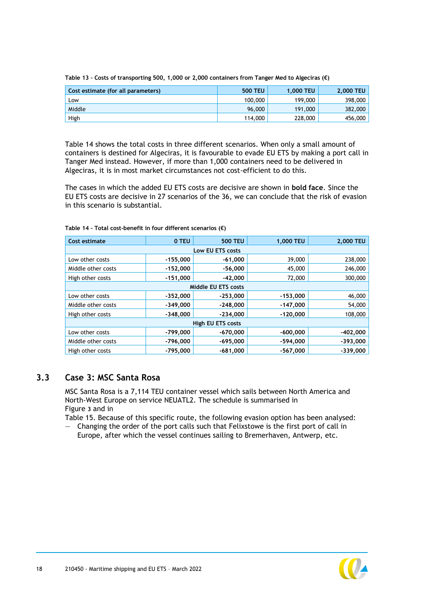| Cost estimate (for all parameters) | <b>500 TEU</b> | 1.000 TEU | <b>2.000 TEU</b> |
|------------------------------------|----------------|-----------|------------------|
| Low                                | 100,000        | 199,000   | 398,000          |
| Middle                             | 96,000         | 191,000   | 382,000          |
| High                               | 114,000        | 228,000   | 456,000          |

<span id="page-18-1"></span>**Table 13 – Costs of transporting 500, 1,000 or 2,000 containers from Tanger Med to Algeciras (€)**

[Table 14](#page-18-2) shows the total costs in three different scenarios. When only a small amount of containers is destined for Algeciras, it is favourable to evade EU ETS by making a port call in Tanger Med instead. However, if more than 1,000 containers need to be delivered in Algeciras, it is in most market circumstances not cost-efficient to do this.

The cases in which the added EU ETS costs are decisive are shown in **bold face**. Since the EU ETS costs are decisive in 27 scenarios of the 36, we can conclude that the risk of evasion in this scenario is substantial.

| Cost estimate            | 0 TEU      | <b>500 TEU</b>      | 1,000 TEU  | 2,000 TEU  |  |
|--------------------------|------------|---------------------|------------|------------|--|
|                          |            | Low EU ETS costs    |            |            |  |
| Low other costs          | $-155,000$ | $-61,000$           | 39,000     | 238,000    |  |
| Middle other costs       | $-152,000$ | $-56,000$           | 45,000     | 246,000    |  |
| High other costs         | $-151,000$ | $-42.000$           | 72,000     | 300,000    |  |
|                          |            | Middle EU ETS costs |            |            |  |
| Low other costs          | $-352,000$ | $-253,000$          | $-153,000$ | 46,000     |  |
| Middle other costs       | $-349,000$ | $-248,000$          | $-147,000$ | 54,000     |  |
| High other costs         | $-348,000$ | $-234,000$          | $-120,000$ | 108,000    |  |
| <b>High EU ETS costs</b> |            |                     |            |            |  |
| Low other costs          | -799,000   | $-670,000$          | $-600,000$ | $-402,000$ |  |
| Middle other costs       | $-796,000$ | $-695,000$          | $-594,000$ | $-393,000$ |  |
| High other costs         | $-795.000$ | $-681.000$          | $-567.000$ | $-339,000$ |  |

<span id="page-18-2"></span>**Table 14 – Total cost-benefit in four different scenarios (€)**

### <span id="page-18-0"></span>**3.3 Case 3: MSC Santa Rosa**

MSC Santa Rosa is a 7,114 TEU container vessel which sails between North America and North-West Europe on service NEUATL2. The schedule is summarised in [Figure](#page-19-0) **3** and in

[Table 15.](#page-19-1) Because of this specific route, the following evasion option has been analysed:

— Changing the order of the port calls such that Felixstowe is the first port of call in Europe, after which the vessel continues sailing to Bremerhaven, Antwerp, etc.

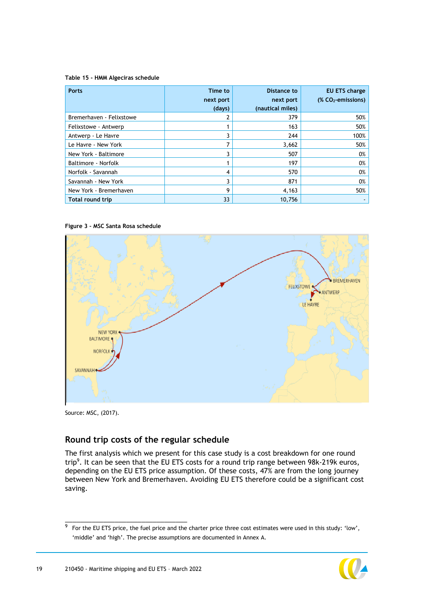#### <span id="page-19-1"></span>**Table 15 - HMM Algeciras schedule**

| <b>Ports</b>             | Time to<br>next port<br>(days) | Distance to<br>next port<br>(nautical miles) | <b>EU ETS charge</b><br>$(X CO2$ -emissions) |
|--------------------------|--------------------------------|----------------------------------------------|----------------------------------------------|
| Bremerhaven - Felixstowe | 2                              | 379                                          | 50%                                          |
| Felixstowe - Antwerp     |                                | 163                                          | 50%                                          |
| Antwerp - Le Havre       | 3                              | 244                                          | 100%                                         |
| Le Havre - New York      | 7                              | 3,662                                        | 50%                                          |
| New York - Baltimore     | 3                              | 507                                          | 0%                                           |
| Baltimore - Norfolk      |                                | 197                                          | 0%                                           |
| Norfolk - Savannah       | 4                              | 570                                          | 0%                                           |
| Savannah - New York      | 3                              | 871                                          | 0%                                           |
| New York - Bremerhaven   | 9                              | 4,163                                        | 50%                                          |
| <b>Total round trip</b>  | 33                             | 10.756                                       |                                              |

#### <span id="page-19-0"></span>**Figure 3 – MSC Santa Rosa schedule**



Source: MSC, (2017).

### **Round trip costs of the regular schedule**

The first analysis which we present for this case study is a cost breakdown for one round trip<sup>9</sup>. It can be seen that the EU ETS costs for a round trip range between 98k-219k euros, depending on the EU ETS price assumption. Of these costs, 47% are from the long journey between New York and Bremerhaven. Avoiding EU ETS therefore could be a significant cost saving.

<sup>9</sup> For the EU ETS price, the fuel price and the charter price three cost estimates were used in this study: 'low', 'middle' and 'high'. The precise assumptions are documented in Annex [A.](#page-32-0)

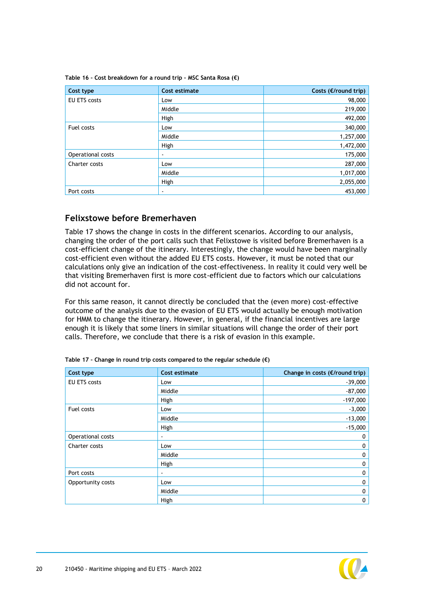| Cost type         | Cost estimate | Costs ( $E$ /round trip) |
|-------------------|---------------|--------------------------|
| EU ETS costs      | Low           | 98,000                   |
|                   | Middle        | 219,000                  |
|                   | High          | 492,000                  |
| Fuel costs        | Low           | 340,000                  |
|                   | Middle        | 1,257,000                |
|                   | High          | 1,472,000                |
| Operational costs | ۰             | 175,000                  |
| Charter costs     | Low           | 287,000                  |
|                   | Middle        | 1,017,000                |
|                   | High          | 2,055,000                |
| Port costs        | ٠             | 453,000                  |

**Table 16 – Cost breakdown for a round trip – MSC Santa Rosa (€)**

#### **Felixstowe before Bremerhaven**

[Table 17](#page-20-0) shows the change in costs in the different scenarios. According to our analysis, changing the order of the port calls such that Felixstowe is visited before Bremerhaven is a cost-efficient change of the itinerary. Interestingly, the change would have been marginally cost-efficient even without the added EU ETS costs. However, it must be noted that our calculations only give an indication of the cost-effectiveness. In reality it could very well be that visiting Bremerhaven first is more cost-efficient due to factors which our calculations did not account for.

For this same reason, it cannot directly be concluded that the (even more) cost-effective outcome of the analysis due to the evasion of EU ETS would actually be enough motivation for HMM to change the itinerary. However, in general, if the financial incentives are large enough it is likely that some liners in similar situations will change the order of their port calls. Therefore, we conclude that there is a risk of evasion in this example.

| Cost type           | Cost estimate  | Change in costs (€/round trip) |
|---------------------|----------------|--------------------------------|
| <b>EU ETS costs</b> | Low            | $-39,000$                      |
|                     | Middle         | $-87,000$                      |
|                     | High           | $-197,000$                     |
| Fuel costs          | Low            | $-3,000$                       |
|                     | Middle         | $-13,000$                      |
|                     | High           | $-15,000$                      |
| Operational costs   | $\blacksquare$ | 0                              |
| Charter costs       | Low            | 0                              |
|                     | Middle         | 0                              |
|                     | High           | 0                              |
| Port costs          | $\blacksquare$ | 0                              |
| Opportunity costs   | Low            | 0                              |
|                     | Middle         | 0                              |
|                     | High           | 0                              |

<span id="page-20-0"></span>**Table 17 – Change in round trip costs compared to the regular schedule (€)**

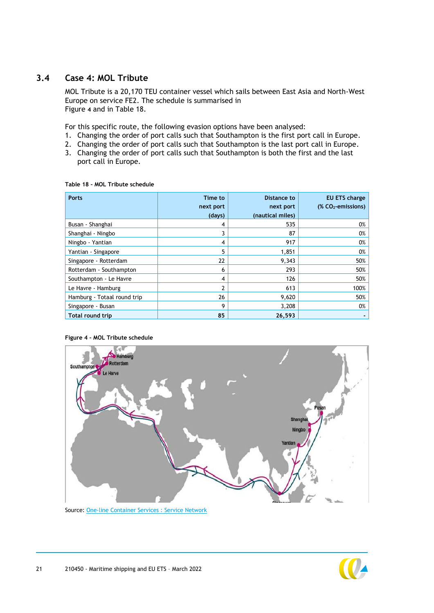## **3.4 Case 4: MOL Tribute**

<span id="page-21-0"></span>MOL Tribute is a 20,170 TEU container vessel which sails between East Asia and North-West Europe on service FE2. The schedule is summarised in [Figure](#page-21-1) **4** and in [Table 18.](#page-21-2)

For this specific route, the following evasion options have been analysed:

- 1. Changing the order of port calls such that Southampton is the first port call in Europe.
- 2. Changing the order of port calls such that Southampton is the last port call in Europe.
- <span id="page-21-3"></span>3. Changing the order of port calls such that Southampton is both the first and the last port call in Europe.

| <b>Ports</b>                | Time to<br>next port<br>(days) | Distance to<br>next port<br>(nautical miles) | <b>EU ETS charge</b><br>$(X CO2$ -emissions) |
|-----------------------------|--------------------------------|----------------------------------------------|----------------------------------------------|
| Busan - Shanghai            | 4                              | 535                                          | 0%                                           |
| Shanghai - Ningbo           | 3                              | 87                                           | 0%                                           |
| Ningbo - Yantian            | 4                              | 917                                          | 0%                                           |
| Yantian - Singapore         | 5                              | 1,851                                        | 0%                                           |
| Singapore - Rotterdam       | 22                             | 9,343                                        | 50%                                          |
| Rotterdam - Southampton     | 6                              | 293                                          | 50%                                          |
| Southampton - Le Havre      | 4                              | 126                                          | 50%                                          |
| Le Havre - Hamburg          | 2                              | 613                                          | 100%                                         |
| Hamburg - Totaal round trip | 26                             | 9,620                                        | 50%                                          |
| Singapore - Busan           | 9                              | 3,208                                        | 0%                                           |
| Total round trip            | 85                             | 26,593                                       |                                              |

#### <span id="page-21-2"></span>**Table 18 – MOL Tribute schedule**



#### <span id="page-21-1"></span>**Figure 4 – MOL Tribute schedule**

Source: One-line [Container Services : Service Network](https://www.one-line.com/sites/g/files/lnzjqr776/files/routes/FE2_4.pdf)

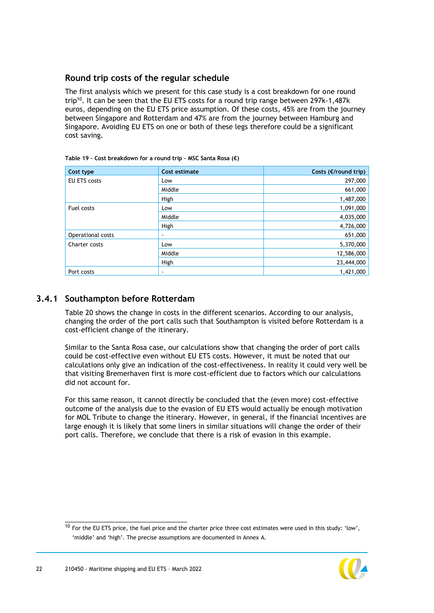### **Round trip costs of the regular schedule**

The first analysis which we present for this case study is a cost breakdown for one round trip<sup>10</sup>. It can be seen that the EU ETS costs for a round trip range between 297k-1,487k euros, depending on the EU ETS price assumption. Of these costs, 45% are from the journey between Singapore and Rotterdam and 47% are from the journey between Hamburg and Singapore. Avoiding EU ETS on one or both of these legs therefore could be a significant cost saving.

| Cost type           | Cost estimate | Costs (€/round trip) |
|---------------------|---------------|----------------------|
| <b>EU ETS costs</b> | Low           | 297,000              |
|                     | Middle        | 661,000              |
|                     | High          | 1,487,000            |
| Fuel costs          | Low           | 1,091,000            |
|                     | Middle        | 4,035,000            |
|                     | High          | 4,726,000            |
| Operational costs   | ٠             | 651,000              |
| Charter costs       | Low           | 5,370,000            |
|                     | Middle        | 12,586,000           |
|                     | High          | 23,444,000           |
| Port costs          | ٠             | 1,421,000            |

## **3.4.1 Southampton before Rotterdam**

[Table 20](#page-23-0) shows the change in costs in the different scenarios. According to our analysis, changing the order of the port calls such that Southampton is visited before Rotterdam is a cost-efficient change of the itinerary.

Similar to the Santa Rosa case, our calculations show that changing the order of port calls could be cost-effective even without EU ETS costs. However, it must be noted that our calculations only give an indication of the cost-effectiveness. In reality it could very well be that visiting Bremerhaven first is more cost-efficient due to factors which our calculations did not account for.

For this same reason, it cannot directly be concluded that the (even more) cost-effective outcome of the analysis due to the evasion of EU ETS would actually be enough motivation for MOL Tribute to change the itinerary. However, in general, if the financial incentives are large enough it is likely that some liners in similar situations will change the order of their port calls. Therefore, we conclude that there is a risk of evasion in this example.

 $10$  For the EU ETS price, the fuel price and the charter price three cost estimates were used in this study: 'low', 'middle' and 'high'. The precise assumptions are documented in Annex [A.](#page-32-0)

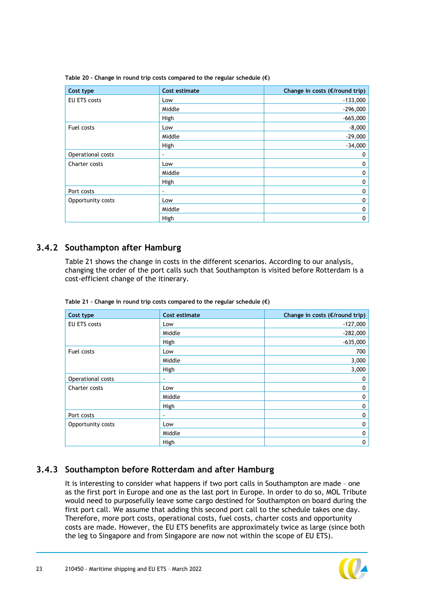| Cost type           | Cost estimate  | Change in costs ( $E$ /round trip) |
|---------------------|----------------|------------------------------------|
| <b>EU ETS costs</b> | Low            | $-133,000$                         |
|                     | Middle         | $-296,000$                         |
|                     | High           | $-665,000$                         |
| Fuel costs          | Low            | $-8,000$                           |
|                     | Middle         | $-29,000$                          |
|                     | High           | $-34,000$                          |
| Operational costs   | $\blacksquare$ | 0                                  |
| Charter costs       | Low            | 0                                  |
|                     | Middle         | 0                                  |
|                     | High           | 0                                  |
| Port costs          | $\blacksquare$ | 0                                  |
| Opportunity costs   | Low            | 0                                  |
|                     | Middle         | 0                                  |
|                     | High           | 0                                  |

<span id="page-23-0"></span>**Table 20 – Change in round trip costs compared to the regular schedule (€)**

### **3.4.2 Southampton after Hamburg**

[Table 21](#page-23-1) shows the change in costs in the different scenarios. According to our analysis, changing the order of the port calls such that Southampton is visited before Rotterdam is a cost-efficient change of the itinerary.

| Cost type           | Cost estimate  | Change in costs (€/round trip) |
|---------------------|----------------|--------------------------------|
| <b>EU ETS costs</b> | Low            | $-127,000$                     |
|                     | Middle         | $-282,000$                     |
|                     | High           | $-635,000$                     |
| Fuel costs          | Low            | 700                            |
|                     | Middle         | 3,000                          |
|                     | High           | 3,000                          |
| Operational costs   | $\blacksquare$ | 0                              |
| Charter costs       | Low            | 0                              |
|                     | Middle         | 0                              |
|                     | High           | 0                              |
| Port costs          | $\blacksquare$ | 0                              |
| Opportunity costs   | Low            | 0                              |
|                     | Middle         | 0                              |
|                     | High           | 0                              |

<span id="page-23-1"></span>**Table 21 – Change in round trip costs compared to the regular schedule (€)**

#### **3.4.3 Southampton before Rotterdam and after Hamburg**

It is interesting to consider what happens if two port calls in Southampton are made – one as the first port in Europe and one as the last port in Europe. In order to do so, MOL Tribute would need to purposefully leave some cargo destined for Southampton on board during the first port call. We assume that adding this second port call to the schedule takes one day. Therefore, more port costs, operational costs, fuel costs, charter costs and opportunity costs are made. However, the EU ETS benefits are approximately twice as large (since both the leg to Singapore and from Singapore are now not within the scope of EU ETS).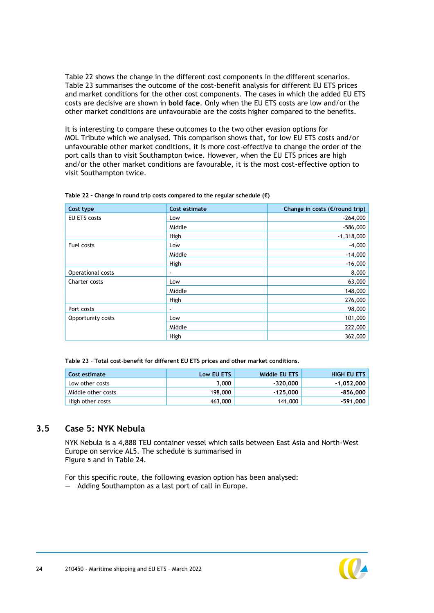[Table 22](#page-24-1) shows the change in the different cost components in the different scenarios. [Table 23](#page-24-2) summarises the outcome of the cost-benefit analysis for different EU ETS prices and market conditions for the other cost components. The cases in which the added EU ETS costs are decisive are shown in **bold face**. Only when the EU ETS costs are low and/or the other market conditions are unfavourable are the costs higher compared to the benefits.

It is interesting to compare these outcomes to the two other evasion options for MOL Tribute which we analysed. This comparison shows that, for low EU ETS costs and/or unfavourable other market conditions, it is more cost-effective to change the order of the port calls than to visit Southampton twice. However, when the EU ETS prices are high and/or the other market conditions are favourable, it is the most cost-effective option to visit Southampton twice.

| Cost type         | Cost estimate | Change in costs (€/round trip) |
|-------------------|---------------|--------------------------------|
| EU ETS costs      | Low           | $-264,000$                     |
|                   | Middle        | $-586,000$                     |
|                   | High          | $-1,318,000$                   |
| Fuel costs        | Low           | $-4,000$                       |
|                   | Middle        | $-14,000$                      |
|                   | High          | $-16,000$                      |
| Operational costs | ۰             | 8,000                          |
| Charter costs     | Low           | 63,000                         |
|                   | Middle        | 148,000                        |
|                   | High          | 276,000                        |
| Port costs        | ۰             | 98,000                         |
| Opportunity costs | Low           | 101,000                        |
|                   | Middle        | 222,000                        |
|                   | High          | 362,000                        |

<span id="page-24-1"></span>**Table 22 – Change in round trip costs compared to the regular schedule (€)**

<span id="page-24-2"></span>**Table 23 – Total cost-benefit for different EU ETS prices and other market conditions.**

| Cost estimate      | Low EU ETS | Middle EU ETS | <b>HIGH EU ETS</b> |
|--------------------|------------|---------------|--------------------|
| Low other costs    | 3.000      | -320.000      | -1.052.000         |
| Middle other costs | 198,000    | -125.000      | $-856,000$         |
| High other costs   | 463,000    | 141,000       | $-591.000$         |

## <span id="page-24-0"></span>**3.5 Case 5: NYK Nebula**

NYK Nebula is a 4,888 TEU container vessel which sails between East Asia and North-West Europe on service AL5. The schedule is summarised in [Figure](#page-25-0) **5** and in [Table 24.](#page-25-1)

For this specific route, the following evasion option has been analysed:

— Adding Southampton as a last port of call in Europe.

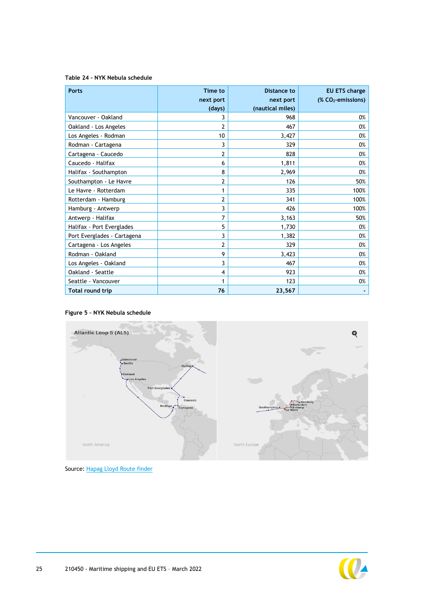#### <span id="page-25-1"></span>**Table 24 – NYK Nebula schedule**

| <b>Ports</b>                | Time to<br>next port<br>(days) | Distance to<br>next port<br>(nautical miles) | <b>EU ETS charge</b><br>$(X CO2$ -emissions) |
|-----------------------------|--------------------------------|----------------------------------------------|----------------------------------------------|
| Vancouver - Oakland         | 3                              | 968                                          | 0%                                           |
| Oakland - Los Angeles       | 2                              | 467                                          | 0%                                           |
| Los Angeles - Rodman        | 10                             | 3,427                                        | 0%                                           |
| Rodman - Cartagena          | 3                              | 329                                          | 0%                                           |
| Cartagena - Caucedo         | 2                              | 828                                          | 0%                                           |
| Caucedo - Halifax           | 6                              | 1,811                                        | 0%                                           |
| Halifax - Southampton       | 8                              | 2,969                                        | 0%                                           |
| Southampton - Le Havre      | 2                              | 126                                          | 50%                                          |
| Le Havre - Rotterdam        |                                | 335                                          | 100%                                         |
| Rotterdam - Hamburg         | 2                              | 341                                          | 100%                                         |
| Hamburg - Antwerp           | 3                              | 426                                          | 100%                                         |
| Antwerp - Halifax           | 7                              | 3,163                                        | 50%                                          |
| Halifax - Port Everglades   | 5                              | 1,730                                        | 0%                                           |
| Port Everglades - Cartagena | 3                              | 1,382                                        | 0%                                           |
| Cartagena - Los Angeles     | 2                              | 329                                          | 0%                                           |
| Rodman - Oakland            | 9                              | 3,423                                        | 0%                                           |
| Los Angeles - Oakland       | 3                              | 467                                          | 0%                                           |
| Oakland - Seattle           | 4                              | 923                                          | 0%                                           |
| Seattle - Vancouver         |                                | 123                                          | 0%                                           |
| <b>Total round trip</b>     | 76                             | 23,567                                       |                                              |

#### <span id="page-25-0"></span>**Figure 5 – NYK Nebula schedule**



Source[: Hapag Lloyd Route finder](https://www.hapag-lloyd.com/en/services-information/routes-trades/routes/route-finder.html/north_europe/north_america/AL5.html)

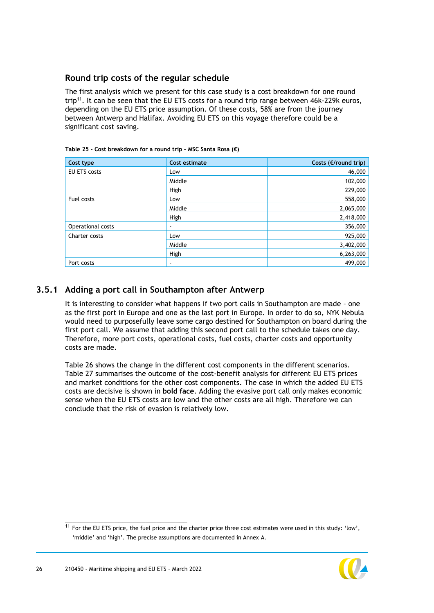### **Round trip costs of the regular schedule**

The first analysis which we present for this case study is a cost breakdown for one round trip<sup>11</sup>. It can be seen that the EU ETS costs for a round trip range between 46k-229k euros, depending on the EU ETS price assumption. Of these costs, 58% are from the journey between Antwerp and Halifax. Avoiding EU ETS on this voyage therefore could be a significant cost saving.

| Cost type         | Cost estimate | Costs (€/round trip) |
|-------------------|---------------|----------------------|
| EU ETS costs      | Low           | 46,000               |
|                   | Middle        | 102,000              |
|                   | High          | 229,000              |
| Fuel costs        | Low           | 558,000              |
|                   | Middle        | 2,065,000            |
|                   | High          | 2,418,000            |
| Operational costs | ٠             | 356,000              |
| Charter costs     | Low           | 925,000              |
|                   | Middle        | 3,402,000            |
|                   | High          | 6,263,000            |
| Port costs        | ٠             | 499,000              |

#### **Table 25 - Cost breakdown for a round trip – MSC Santa Rosa (€)**

## **3.5.1 Adding a port call in Southampton after Antwerp**

It is interesting to consider what happens if two port calls in Southampton are made – one as the first port in Europe and one as the last port in Europe. In order to do so, NYK Nebula would need to purposefully leave some cargo destined for Southampton on board during the first port call. We assume that adding this second port call to the schedule takes one day. Therefore, more port costs, operational costs, fuel costs, charter costs and opportunity costs are made.

[Table 26](#page-27-1) shows the change in the different cost components in the different scenarios. [Table 27](#page-27-2) summarises the outcome of the cost-benefit analysis for different EU ETS prices and market conditions for the other cost components. The case in which the added EU ETS costs are decisive is shown in **bold face**. Adding the evasive port call only makes economic sense when the EU ETS costs are low and the other costs are all high. Therefore we can conclude that the risk of evasion is relatively low.

 $11$  For the EU ETS price, the fuel price and the charter price three cost estimates were used in this study: 'low', 'middle' and 'high'. The precise assumptions are documented in Annex [A.](#page-32-0)

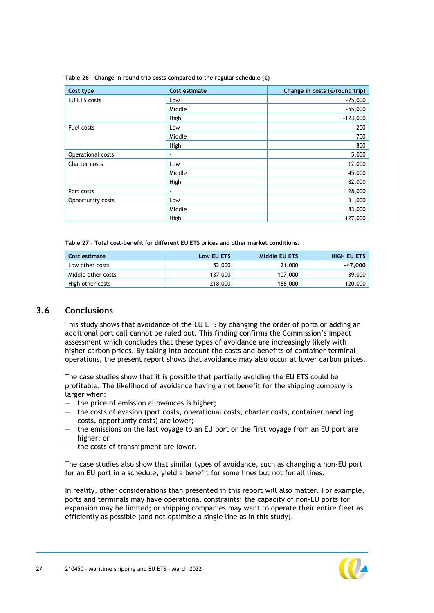| Cost type           | Cost estimate  | Change in costs ( $E$ /round trip) |
|---------------------|----------------|------------------------------------|
| <b>EU ETS costs</b> | Low            | $-25,000$                          |
|                     | Middle         | $-55,000$                          |
|                     | High           | $-123,000$                         |
| Fuel costs          | Low            | 200                                |
|                     | Middle         | 700                                |
|                     | High           | 800                                |
| Operational costs   | $\blacksquare$ | 5,000                              |
| Charter costs       | Low            | 12,000                             |
|                     | Middle         | 45,000                             |
|                     | High           | 82,000                             |
| Port costs          | $\blacksquare$ | 28,000                             |
| Opportunity costs   | Low            | 31,000                             |
|                     | Middle         | 83,000                             |
|                     | High           | 127,000                            |

<span id="page-27-1"></span>**Table 26 – Change in round trip costs compared to the regular schedule (€)**

<span id="page-27-2"></span>**Table 27 – Total cost-benefit for different EU ETS prices and other market conditions.**

| Cost estimate      | Low EU ETS | Middle EU ETS | <b>HIGH EU ETS</b> |
|--------------------|------------|---------------|--------------------|
| Low other costs    | 52,000     | 21,000        | $-47.000$          |
| Middle other costs | 137,000    | 107,000       | 39,000             |
| High other costs   | 218,000    | 188,000       | 120,000            |

#### <span id="page-27-0"></span>**3.6 Conclusions**

This study shows that avoidance of the EU ETS by changing the order of ports or adding an additional port call cannot be ruled out. This finding confirms the Commission's impact assessment which concludes that these types of avoidance are increasingly likely with higher carbon prices. By taking into account the costs and benefits of container terminal operations, the present report shows that avoidance may also occur at lower carbon prices.

The case studies show that it is possible that partially avoiding the EU ETS could be profitable. The likelihood of avoidance having a net benefit for the shipping company is larger when:

- the price of emission allowances is higher;
- the costs of evasion (port costs, operational costs, charter costs, container handling costs, opportunity costs) are lower;
- the emissions on the last voyage to an EU port or the first voyage from an EU port are higher; or
- the costs of transhipment are lower.

The case studies also show that similar types of avoidance, such as changing a non-EU port for an EU port in a schedule, yield a benefit for some lines but not for all lines.

In reality, other considerations than presented in this report will also matter. For example, ports and terminals may have operational constraints; the capacity of non-EU ports for expansion may be limited; or shipping companies may want to operate their entire fleet as efficiently as possible (and not optimise a single line as in this study).

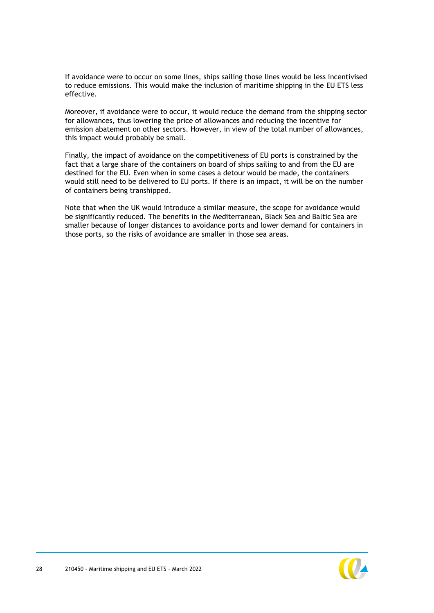If avoidance were to occur on some lines, ships sailing those lines would be less incentivised to reduce emissions. This would make the inclusion of maritime shipping in the EU ETS less effective.

Moreover, if avoidance were to occur, it would reduce the demand from the shipping sector for allowances, thus lowering the price of allowances and reducing the incentive for emission abatement on other sectors. However, in view of the total number of allowances, this impact would probably be small.

Finally, the impact of avoidance on the competitiveness of EU ports is constrained by the fact that a large share of the containers on board of ships sailing to and from the EU are destined for the EU. Even when in some cases a detour would be made, the containers would still need to be delivered to EU ports. If there is an impact, it will be on the number of containers being transhipped.

Note that when the UK would introduce a similar measure, the scope for avoidance would be significantly reduced. The benefits in the Mediterranean, Black Sea and Baltic Sea are smaller because of longer distances to avoidance ports and lower demand for containers in those ports, so the risks of avoidance are smaller in those sea areas.

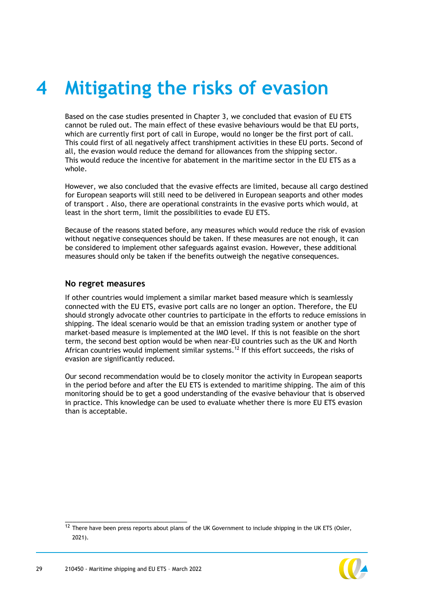## <span id="page-29-0"></span>**4 Mitigating the risks of evasion**

Based on the case studies presented in Chapter [3,](#page-21-3) we concluded that evasion of EU ETS cannot be ruled out. The main effect of these evasive behaviours would be that EU ports, which are currently first port of call in Europe, would no longer be the first port of call. This could first of all negatively affect transhipment activities in these EU ports. Second of all, the evasion would reduce the demand for allowances from the shipping sector. This would reduce the incentive for abatement in the maritime sector in the EU ETS as a whole.

However, we also concluded that the evasive effects are limited, because all cargo destined for European seaports will still need to be delivered in European seaports and other modes of transport . Also, there are operational constraints in the evasive ports which would, at least in the short term, limit the possibilities to evade EU ETS.

Because of the reasons stated before, any measures which would reduce the risk of evasion without negative consequences should be taken. If these measures are not enough, it can be considered to implement other safeguards against evasion. However, these additional measures should only be taken if the benefits outweigh the negative consequences.

#### **No regret measures**

If other countries would implement a similar market based measure which is seamlessly connected with the EU ETS, evasive port calls are no longer an option. Therefore, the EU should strongly advocate other countries to participate in the efforts to reduce emissions in shipping. The ideal scenario would be that an emission trading system or another type of market-based measure is implemented at the IMO level. If this is not feasible on the short term, the second best option would be when near-EU countries such as the UK and North African countries would implement similar systems. <sup>12</sup> If this effort succeeds, the risks of evasion are significantly reduced.

Our second recommendation would be to closely monitor the activity in European seaports in the period before and after the EU ETS is extended to maritime shipping. The aim of this monitoring should be to get a good understanding of the evasive behaviour that is observed in practice. This knowledge can be used to evaluate whether there is more EU ETS evasion than is acceptable.

 $12$  There have been press reports about plans of the UK Government to include shipping in the UK ETS (Osler, 2021).

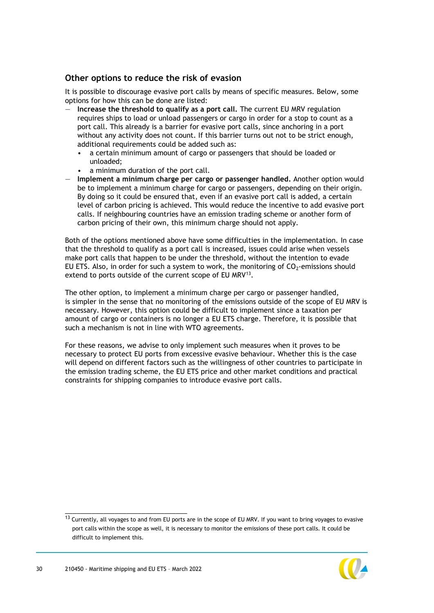#### **Other options to reduce the risk of evasion**

It is possible to discourage evasive port calls by means of specific measures. Below, some options for how this can be done are listed:

- **Increase the threshold to qualify as a port call.** The current EU MRV regulation requires ships to load or unload passengers or cargo in order for a stop to count as a port call. This already is a barrier for evasive port calls, since anchoring in a port without any activity does not count. If this barrier turns out not to be strict enough, additional requirements could be added such as:
	- a certain minimum amount of cargo or passengers that should be loaded or unloaded;
	- a minimum duration of the port call.
- **Implement a minimum charge per cargo or passenger handled.** Another option would be to implement a minimum charge for cargo or passengers, depending on their origin. By doing so it could be ensured that, even if an evasive port call is added, a certain level of carbon pricing is achieved. This would reduce the incentive to add evasive port calls. If neighbouring countries have an emission trading scheme or another form of carbon pricing of their own, this minimum charge should not apply.

Both of the options mentioned above have some difficulties in the implementation. In case that the threshold to qualify as a port call is increased, issues could arise when vessels make port calls that happen to be under the threshold, without the intention to evade EU ETS. Also, in order for such a system to work, the monitoring of  $CO_2$ -emissions should extend to ports outside of the current scope of EU MRV<sup>13</sup>.

The other option, to implement a minimum charge per cargo or passenger handled, is simpler in the sense that no monitoring of the emissions outside of the scope of EU MRV is necessary. However, this option could be difficult to implement since a taxation per amount of cargo or containers is no longer a EU ETS charge. Therefore, it is possible that such a mechanism is not in line with WTO agreements.

For these reasons, we advise to only implement such measures when it proves to be necessary to protect EU ports from excessive evasive behaviour. Whether this is the case will depend on different factors such as the willingness of other countries to participate in the emission trading scheme, the EU ETS price and other market conditions and practical constraints for shipping companies to introduce evasive port calls.

 $13$  Currently, all voyages to and from EU ports are in the scope of EU MRV. If you want to bring voyages to evasive port calls within the scope as well, it is necessary to monitor the emissions of these port calls. It could be difficult to implement this.

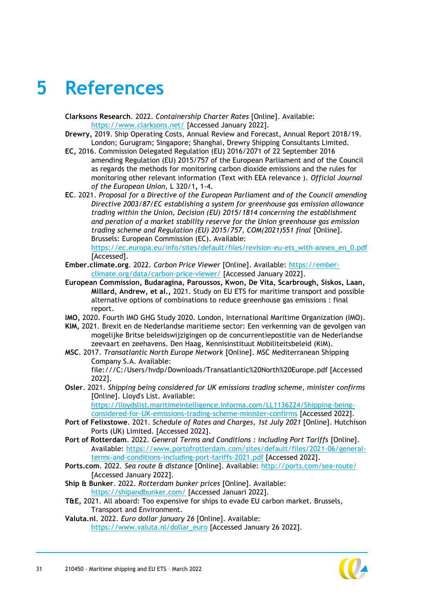## <span id="page-31-0"></span>**5 References**

- **Clarksons Research**. 2022. *Containership Charter Rates* [Online]. Available: <https://www.clarksons.net/> [Accessed January 2022].
- **Drewry,** 2019. Ship Operating Costs, Annual Review and Forecast, Annual Report 2018/19. London; Gurugram; Singapore; Shanghai, Drewry Shipping Consultants Limited.
- **EC,** 2016. Commission Delegated Regulation (EU) 2016/2071 of 22 September 2016 amending Regulation (EU) 2015/757 of the European Parliament and of the Council as regards the methods for monitoring carbon dioxide emissions and the rules for monitoring other relevant information (Text with EEA relevance ). *Official Journal of the European Union,* L 320/1**,** 1-4.
- **EC**. 2021. *Proposal for a Directive of the European Parliament and of the Council amending Directive 2003/87/EC establishing a system for greenhouse gas emission allowance trading within the Union, Decision (EU) 2015/1814 concerning the establishment and peration of a market stability reserve for the Union greenhouse gas emission trading scheme and Regulation (EU) 2015/757, COM(2021)551 final* [Online]. Brussels: European Commission (EC). Available: [https://ec.europa.eu/info/sites/default/files/revision-eu-ets\\_with-annex\\_en\\_0.pdf](https://ec.europa.eu/info/sites/default/files/revision-eu-ets_with-annex_en_0.pdf)
- [Accessed]. **Ember.climate.org**. 2022. *Carbon Price Viewer* [Online]. Available: [https://ember](https://ember-climate.org/data/carbon-price-viewer/)[climate.org/data/carbon-price-viewer/](https://ember-climate.org/data/carbon-price-viewer/) [Accessed January 2022].
- **European Commission, Budaragina, Paroussos, Kwon, De Vita, Scarbrough, Siskos, Laan, Millard, Andrew, et al.,** 2021. Study on EU ETS for maritime transport and possible alternative options of combinations to reduce greenhouse gas emissions : final report.
- **IMO,** 2020. Fourth IMO GHG Study 2020. London, International Maritime Organization (IMO).
- **KIM,** 2021. Brexit en de Nederlandse maritieme sector: Een verkenning van de gevolgen van mogelijke Britse beleidswijzigingen op de concurrentiepostitie van de Nederlandse zeevaart en zeehavens. Den Haag, Kennisinstituut Mobiliteitsbeleid (KiM).
- **MSC**. 2017. *Transatlantic North Europe Network* [Online]. MSC Mediterranean Shipping Company S.A. Available: file:///C:/Users/hvdp/Downloads/Transatlantic%20North%20Europe.pdf [Accessed
- 2022]. **Osler**. 2021. *Shipping being considered for UK emissions trading scheme, minister confirms*
- [Online]. Lloyd's List. Available:

[https://lloydslist.maritimeintelligence.informa.com/LL1136224/Shipping-being](https://lloydslist.maritimeintelligence.informa.com/LL1136224/Shipping-being-considered-for-UK-emissions-trading-scheme-minister-confirms)[considered-for-UK-emissions-trading-scheme-minister-confirms](https://lloydslist.maritimeintelligence.informa.com/LL1136224/Shipping-being-considered-for-UK-emissions-trading-scheme-minister-confirms) [Accessed 2022].

- **Port of Felixstowe**. 2021. *Schedule of Rates and Charges, 1st July 2021* [Online]. Hutchison Ports (UK) Limited. [Accessed 2022].
- **Port of Rotterdam**. 2022. *General Terms and Conditions : including Port Tariffs* [Online]. Available: [https://www.portofrotterdam.com/sites/default/files/2021-06/general](https://www.portofrotterdam.com/sites/default/files/2021-06/general-terms-and-conditions-including-port-tariffs-2021.pdf)[terms-and-conditions-including-port-tariffs-2021.pdf](https://www.portofrotterdam.com/sites/default/files/2021-06/general-terms-and-conditions-including-port-tariffs-2021.pdf) [Accessed 2022].
- **Ports.com**. 2022. *Sea route & distance* [Online]. Available:<http://ports.com/sea-route/> [Accessed January 2022].
- **Ship & Bunker**. 2022. *Rotterdam bunker prices* [Online]. Available: <https://shipandbunker.com/> [Accessed Januari 2022].
- **T&E,** 2021. All aboard: Too expensive for ships to evade EU carbon market. Brussels, Transport and Environment.
- **Valuta.nl**. 2022. *Euro dollar january 26* [Online]. Available: [https://www.valuta.nl/dollar\\_euro](https://www.valuta.nl/dollar_euro) [Accessed January 26 2022].

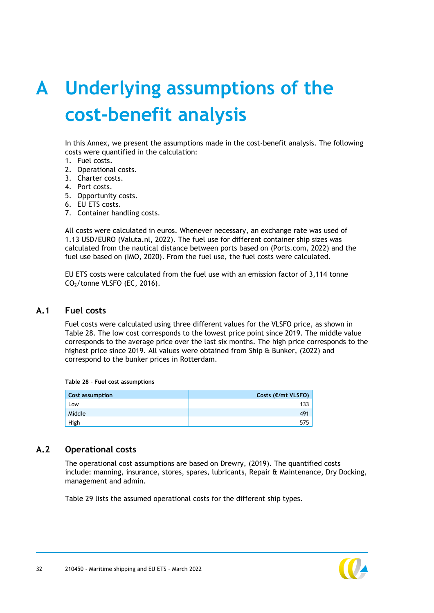# <span id="page-32-0"></span>**A Underlying assumptions of the cost-benefit analysis**

In this Annex, we present the assumptions made in the cost-benefit analysis. The following costs were quantified in the calculation:

- 1. Fuel costs.
- 2. Operational costs.
- 3. Charter costs.
- 4. Port costs.
- 5. Opportunity costs.
- 6. EU ETS costs.
- 7. Container handling costs.

All costs were calculated in euros. Whenever necessary, an exchange rate was used of 1.13 USD/EURO (Valuta.nl, 2022). The fuel use for different container ship sizes was calculated from the nautical distance between ports based on (Ports.com, 2022) and the fuel use based on (IMO, 2020). From the fuel use, the fuel costs were calculated.

<span id="page-32-1"></span>EU ETS costs were calculated from the fuel use with an emission factor of 3,114 tonne  $CO<sub>2</sub>/tonne VLSFO$  (EC, 2016).

#### **A.1 Fuel costs**

Fuel costs were calculated using three different values for the VLSFO price, as shown in [Table 28.](#page-32-3) The low cost corresponds to the lowest price point since 2019. The middle value corresponds to the average price over the last six months. The high price corresponds to the highest price since 2019. All values were obtained from Ship & Bunker, (2022) and correspond to the bunker prices in Rotterdam.

<span id="page-32-3"></span>

| Cost assumption | Costs (€/mt VLSFO) |
|-----------------|--------------------|
| Low             | 133                |
| Middle          | 49 <sup>4</sup>    |
| High            | 575                |

#### <span id="page-32-2"></span>**A.2 Operational costs**

The operational cost assumptions are based on Drewry, (2019). The quantified costs include: manning, insurance, stores, spares, lubricants, Repair & Maintenance, Dry Docking, management and admin.

[Table 29](#page-33-1) lists the assumed operational costs for the different ship types.

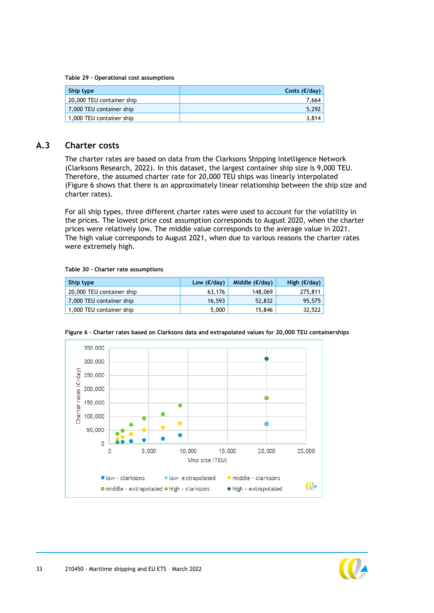<span id="page-33-1"></span>**Table 29 – Operational cost assumptions**

| Ship type                 | Costs $(\epsilon/dav)$ |
|---------------------------|------------------------|
| 20,000 TEU container ship | 7.664                  |
| 7,000 TEU container ship  | 5.292                  |
| 1,000 TEU container ship  | 3.814                  |

#### **A.3 Charter costs**

<span id="page-33-0"></span>The charter rates are based on data from the Clarksons Shipping Intelligence Network (Clarksons Research, 2022). In this dataset, the largest container ship size is 9,000 TEU. Therefore, the assumed charter rate for 20,000 TEU ships was linearly interpolated (Figure 6 shows that there is an approximately linear relationship between the ship size and charter rates).

For all ship types, three different charter rates were used to account for the volatility in the prices. The lowest price cost assumption corresponds to August 2020, when the charter prices were relatively low. The middle value corresponds to the average value in 2021. The high value corresponds to August 2021, when due to various reasons the charter rates were extremely high.

#### **Table 30 – Charter rate assumptions**

| Ship type                 | Low $(€/day)$ | Middle $(\epsilon/dav)$ | High $(\epsilon/day)$ |
|---------------------------|---------------|-------------------------|-----------------------|
| 20,000 TEU container ship | 63,176        | 148,069                 | 275,811               |
| 7,000 TEU container ship  | 16.593        | 52,832                  | 95,575                |
| 1,000 TEU container ship  | 5,000         | 15,846                  | 32,522                |



**Figure 6 – Charter rates based on Clarksons data and extrapolated values for 20,000 TEU containerships**

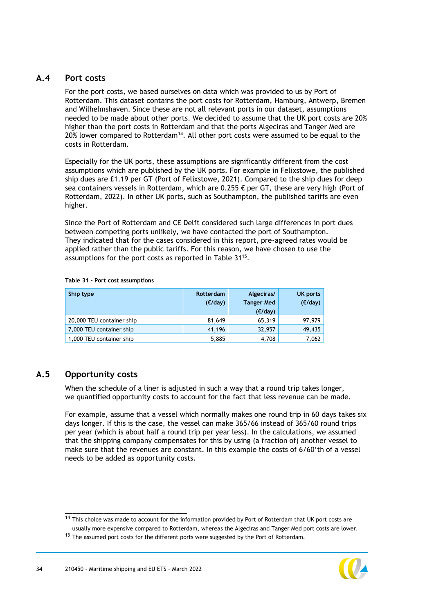#### **A.4 Port costs**

<span id="page-34-0"></span>For the port costs, we based ourselves on data which was provided to us by Port of Rotterdam. This dataset contains the port costs for Rotterdam, Hamburg, Antwerp, Bremen and Wilhelmshaven. Since these are not all relevant ports in our dataset, assumptions needed to be made about other ports. We decided to assume that the UK port costs are 20% higher than the port costs in Rotterdam and that the ports Algeciras and Tanger Med are 20% lower compared to Rotterdam<sup>14</sup>. All other port costs were assumed to be equal to the costs in Rotterdam.

Especially for the UK ports, these assumptions are significantly different from the cost assumptions which are published by the UK ports. For example in Felixstowe, the published ship dues are £1.19 per GT (Port of Felixstowe, 2021). Compared to the ship dues for deep sea containers vessels in Rotterdam, which are 0.255  $\epsilon$  per GT, these are very high (Port of Rotterdam, 2022). In other UK ports, such as Southampton, the published tariffs are even higher.

Since the Port of Rotterdam and CE Delft considered such large differences in port dues between competing ports unlikely, we have contacted the port of Southampton. They indicated that for the cases considered in this report, pre-agreed rates would be applied rather than the public tariffs. For this reason, we have chosen to use the assumptions for the port costs as reported in [Table 31](#page-34-2)<sup>15</sup>.

| Ship type                 | Rotterdam<br>$(\epsilon/dav)$ | Algeciras/<br><b>Tanger Med</b><br>$(\epsilon/day)$ | <b>UK ports</b><br>(E/day) |
|---------------------------|-------------------------------|-----------------------------------------------------|----------------------------|
| 20,000 TEU container ship | 81,649                        | 65,319                                              | 97,979                     |
| 7,000 TEU container ship  | 41,196                        | 32,957                                              | 49,435                     |
| 1,000 TEU container ship  | 5,885                         | 4,708                                               | 7,062                      |

<span id="page-34-2"></span>**Table 31 – Port cost assumptions**

### **A.5 Opportunity costs**

<span id="page-34-1"></span>When the schedule of a liner is adjusted in such a way that a round trip takes longer, we quantified opportunity costs to account for the fact that less revenue can be made.

For example, assume that a vessel which normally makes one round trip in 60 days takes six days longer. If this is the case, the vessel can make 365/66 instead of 365/60 round trips per year (which is about half a round trip per year less). In the calculations, we assumed that the shipping company compensates for this by using (a fraction of) another vessel to make sure that the revenues are constant. In this example the costs of 6/60'th of a vessel needs to be added as opportunity costs.



 $14$  This choice was made to account for the information provided by Port of Rotterdam that UK port costs are usually more expensive compared to Rotterdam, whereas the Algeciras and Tanger Med port costs are lower.

<sup>&</sup>lt;sup>15</sup> The assumed port costs for the different ports were suggested by the Port of Rotterdam.